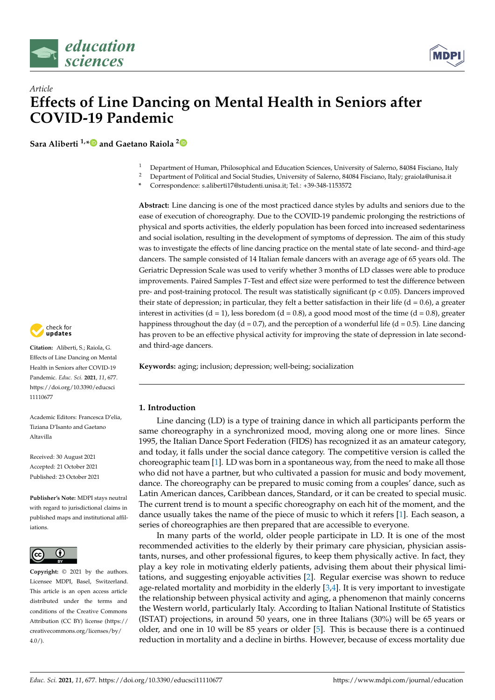

*Article*



# **Effects of Line Dancing on Mental Health in Seniors after COVID-19 Pandemic**

**Sara Aliberti 1,[\\*](https://orcid.org/0000-0002-2470-4032) and Gaetano Raiola [2](https://orcid.org/0000-0002-7659-1674)**

- <sup>1</sup> Department of Human, Philosophical and Education Sciences, University of Salerno, 84084 Fisciano, Italy
- <sup>2</sup> Department of Political and Social Studies, University of Salerno, 84084 Fisciano, Italy; graiola@unisa.it
- **\*** Correspondence: s.aliberti17@studenti.unisa.it; Tel.: +39-348-1153572

**Abstract:** Line dancing is one of the most practiced dance styles by adults and seniors due to the ease of execution of choreography. Due to the COVID-19 pandemic prolonging the restrictions of physical and sports activities, the elderly population has been forced into increased sedentariness and social isolation, resulting in the development of symptoms of depression. The aim of this study was to investigate the effects of line dancing practice on the mental state of late second- and third-age dancers. The sample consisted of 14 Italian female dancers with an average age of 65 years old. The Geriatric Depression Scale was used to verify whether 3 months of LD classes were able to produce improvements. Paired Samples *T*-Test and effect size were performed to test the difference between pre- and post-training protocol. The result was statistically significant ( $p < 0.05$ ). Dancers improved their state of depression; in particular, they felt a better satisfaction in their life ( $d = 0.6$ ), a greater interest in activities  $(d = 1)$ , less boredom  $(d = 0.8)$ , a good mood most of the time  $(d = 0.8)$ , greater happiness throughout the day (d = 0.7), and the perception of a wonderful life (d = 0.5). Line dancing has proven to be an effective physical activity for improving the state of depression in late secondand third-age dancers.

**Keywords:** aging; inclusion; depression; well-being; socialization

# **1. Introduction**

Line dancing (LD) is a type of training dance in which all participants perform the same choreography in a synchronized mood, moving along one or more lines. Since 1995, the Italian Dance Sport Federation (FIDS) has recognized it as an amateur category, and today, it falls under the social dance category. The competitive version is called the choreographic team [\[1\]](#page-6-0). LD was born in a spontaneous way, from the need to make all those who did not have a partner, but who cultivated a passion for music and body movement, dance. The choreography can be prepared to music coming from a couples' dance, such as Latin American dances, Caribbean dances, Standard, or it can be created to special music. The current trend is to mount a specific choreography on each hit of the moment, and the dance usually takes the name of the piece of music to which it refers [\[1\]](#page-6-0). Each season, a series of choreographies are then prepared that are accessible to everyone.

In many parts of the world, older people participate in LD. It is one of the most recommended activities to the elderly by their primary care physician, physician assistants, nurses, and other professional figures, to keep them physically active. In fact, they play a key role in motivating elderly patients, advising them about their physical limitations, and suggesting enjoyable activities [\[2\]](#page-6-1). Regular exercise was shown to reduce age-related mortality and morbidity in the elderly [\[3,](#page-6-2)[4\]](#page-6-3). It is very important to investigate the relationship between physical activity and aging, a phenomenon that mainly concerns the Western world, particularly Italy. According to Italian National Institute of Statistics (ISTAT) projections, in around 50 years, one in three Italians (30%) will be 65 years or older, and one in 10 will be 85 years or older [\[5\]](#page-6-4). This is because there is a continued reduction in mortality and a decline in births. However, because of excess mortality due



**Citation:** Aliberti, S.; Raiola, G. Effects of Line Dancing on Mental Health in Seniors after COVID-19 Pandemic. *Educ. Sci.* **2021**, *11*, 677. [https://doi.org/10.3390/educsci](https://doi.org/10.3390/educsci11110677) [11110677](https://doi.org/10.3390/educsci11110677)

Academic Editors: Francesca D'elia, Tiziana D'Isanto and Gaetano Altavilla

Received: 30 August 2021 Accepted: 21 October 2021 Published: 23 October 2021

**Publisher's Note:** MDPI stays neutral with regard to jurisdictional claims in published maps and institutional affiliations.



**Copyright:** © 2021 by the authors. Licensee MDPI, Basel, Switzerland. This article is an open access article distributed under the terms and conditions of the Creative Commons Attribution (CC BY) license (https:/[/](https://creativecommons.org/licenses/by/4.0/) [creativecommons.org/licenses/by/](https://creativecommons.org/licenses/by/4.0/)  $4.0/$ ).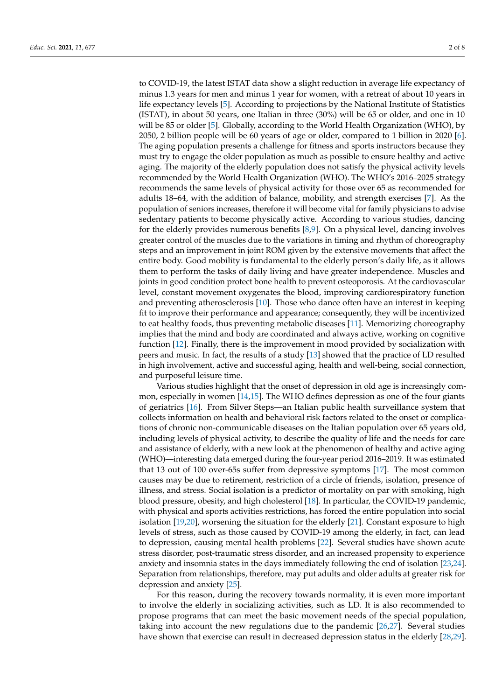to COVID-19, the latest ISTAT data show a slight reduction in average life expectancy of minus 1.3 years for men and minus 1 year for women, with a retreat of about 10 years in life expectancy levels [\[5\]](#page-6-4). According to projections by the National Institute of Statistics (ISTAT), in about 50 years, one Italian in three (30%) will be 65 or older, and one in 10 will be 85 or older [\[5\]](#page-6-4). Globally, according to the World Health Organization (WHO), by 2050, 2 billion people will be 60 years of age or older, compared to 1 billion in 2020 [\[6\]](#page-6-5). The aging population presents a challenge for fitness and sports instructors because they must try to engage the older population as much as possible to ensure healthy and active aging. The majority of the elderly population does not satisfy the physical activity levels recommended by the World Health Organization (WHO). The WHO's 2016–2025 strategy recommends the same levels of physical activity for those over 65 as recommended for adults 18–64, with the addition of balance, mobility, and strength exercises [\[7\]](#page-6-6). As the population of seniors increases, therefore it will become vital for family physicians to advise sedentary patients to become physically active. According to various studies, dancing for the elderly provides numerous benefits [\[8,](#page-6-7)[9\]](#page-6-8). On a physical level, dancing involves greater control of the muscles due to the variations in timing and rhythm of choreography steps and an improvement in joint ROM given by the extensive movements that affect the entire body. Good mobility is fundamental to the elderly person's daily life, as it allows them to perform the tasks of daily living and have greater independence. Muscles and joints in good condition protect bone health to prevent osteoporosis. At the cardiovascular level, constant movement oxygenates the blood, improving cardiorespiratory function and preventing atherosclerosis [\[10\]](#page-6-9). Those who dance often have an interest in keeping fit to improve their performance and appearance; consequently, they will be incentivized to eat healthy foods, thus preventing metabolic diseases [\[11\]](#page-6-10). Memorizing choreography implies that the mind and body are coordinated and always active, working on cognitive function [\[12\]](#page-6-11). Finally, there is the improvement in mood provided by socialization with peers and music. In fact, the results of a study [\[13\]](#page-7-0) showed that the practice of LD resulted in high involvement, active and successful aging, health and well-being, social connection, and purposeful leisure time.

Various studies highlight that the onset of depression in old age is increasingly common, especially in women [\[14](#page-7-1)[,15\]](#page-7-2). The WHO defines depression as one of the four giants of geriatrics [\[16\]](#page-7-3). From Silver Steps—an Italian public health surveillance system that collects information on health and behavioral risk factors related to the onset or complications of chronic non-communicable diseases on the Italian population over 65 years old, including levels of physical activity, to describe the quality of life and the needs for care and assistance of elderly, with a new look at the phenomenon of healthy and active aging (WHO)—interesting data emerged during the four-year period 2016–2019. It was estimated that 13 out of 100 over-65s suffer from depressive symptoms [\[17\]](#page-7-4). The most common causes may be due to retirement, restriction of a circle of friends, isolation, presence of illness, and stress. Social isolation is a predictor of mortality on par with smoking, high blood pressure, obesity, and high cholesterol [\[18\]](#page-7-5). In particular, the COVID-19 pandemic, with physical and sports activities restrictions, has forced the entire population into social isolation [\[19](#page-7-6)[,20\]](#page-7-7), worsening the situation for the elderly [\[21\]](#page-7-8). Constant exposure to high levels of stress, such as those caused by COVID-19 among the elderly, in fact, can lead to depression, causing mental health problems [\[22\]](#page-7-9). Several studies have shown acute stress disorder, post-traumatic stress disorder, and an increased propensity to experience anxiety and insomnia states in the days immediately following the end of isolation [\[23](#page-7-10)[,24\]](#page-7-11). Separation from relationships, therefore, may put adults and older adults at greater risk for depression and anxiety [\[25\]](#page-7-12).

For this reason, during the recovery towards normality, it is even more important to involve the elderly in socializing activities, such as LD. It is also recommended to propose programs that can meet the basic movement needs of the special population, taking into account the new regulations due to the pandemic [\[26,](#page-7-13)[27\]](#page-7-14). Several studies have shown that exercise can result in decreased depression status in the elderly [\[28,](#page-7-15)[29\]](#page-7-16).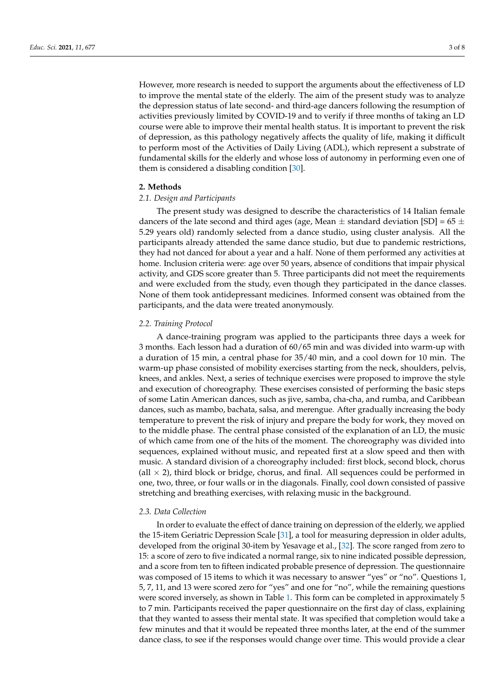However, more research is needed to support the arguments about the effectiveness of LD to improve the mental state of the elderly. The aim of the present study was to analyze the depression status of late second- and third-age dancers following the resumption of activities previously limited by COVID-19 and to verify if three months of taking an LD course were able to improve their mental health status. It is important to prevent the risk of depression, as this pathology negatively affects the quality of life, making it difficult to perform most of the Activities of Daily Living (ADL), which represent a substrate of fundamental skills for the elderly and whose loss of autonomy in performing even one of them is considered a disabling condition [\[30\]](#page-7-17).

### **2. Methods**

### *2.1. Design and Participants*

The present study was designed to describe the characteristics of 14 Italian female dancers of the late second and third ages (age, Mean  $\pm$  standard deviation [SD] = 65  $\pm$ 5.29 years old) randomly selected from a dance studio, using cluster analysis. All the participants already attended the same dance studio, but due to pandemic restrictions, they had not danced for about a year and a half. None of them performed any activities at home. Inclusion criteria were: age over 50 years, absence of conditions that impair physical activity, and GDS score greater than 5. Three participants did not meet the requirements and were excluded from the study, even though they participated in the dance classes. None of them took antidepressant medicines. Informed consent was obtained from the participants, and the data were treated anonymously.

#### *2.2. Training Protocol*

A dance-training program was applied to the participants three days a week for 3 months. Each lesson had a duration of 60/65 min and was divided into warm-up with a duration of 15 min, a central phase for 35/40 min, and a cool down for 10 min. The warm-up phase consisted of mobility exercises starting from the neck, shoulders, pelvis, knees, and ankles. Next, a series of technique exercises were proposed to improve the style and execution of choreography. These exercises consisted of performing the basic steps of some Latin American dances, such as jive, samba, cha-cha, and rumba, and Caribbean dances, such as mambo, bachata, salsa, and merengue. After gradually increasing the body temperature to prevent the risk of injury and prepare the body for work, they moved on to the middle phase. The central phase consisted of the explanation of an LD, the music of which came from one of the hits of the moment. The choreography was divided into sequences, explained without music, and repeated first at a slow speed and then with music. A standard division of a choreography included: first block, second block, chorus (all  $\times$  2), third block or bridge, chorus, and final. All sequences could be performed in one, two, three, or four walls or in the diagonals. Finally, cool down consisted of passive stretching and breathing exercises, with relaxing music in the background.

#### *2.3. Data Collection*

In order to evaluate the effect of dance training on depression of the elderly, we applied the 15-item Geriatric Depression Scale [\[31\]](#page-7-18), a tool for measuring depression in older adults, developed from the original 30-item by Yesavage et al., [\[32\]](#page-7-19). The score ranged from zero to 15: a score of zero to five indicated a normal range, six to nine indicated possible depression, and a score from ten to fifteen indicated probable presence of depression. The questionnaire was composed of 15 items to which it was necessary to answer "yes" or "no". Questions 1, 5, 7, 11, and 13 were scored zero for "yes" and one for "no", while the remaining questions were scored inversely, as shown in Table [1.](#page-3-0) This form can be completed in approximately 5 to 7 min. Participants received the paper questionnaire on the first day of class, explaining that they wanted to assess their mental state. It was specified that completion would take a few minutes and that it would be repeated three months later, at the end of the summer dance class, to see if the responses would change over time. This would provide a clear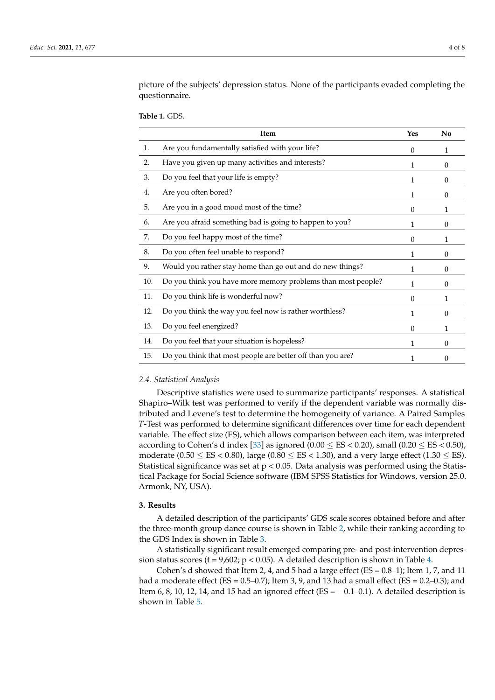picture of the subjects' depression status. None of the participants evaded completing the questionnaire.

<span id="page-3-0"></span>**Table 1.** GDS.

|     | Item                                                         | Yes          | No           |
|-----|--------------------------------------------------------------|--------------|--------------|
| 1.  | Are you fundamentally satisfied with your life?              | $\Omega$     | $\mathbf{1}$ |
| 2.  | Have you given up many activities and interests?             | $\mathbf{1}$ | $\Omega$     |
| 3.  | Do you feel that your life is empty?                         | 1            | $\theta$     |
| 4.  | Are you often bored?                                         | $\mathbf{1}$ | $\Omega$     |
| 5.  | Are you in a good mood most of the time?                     | $\Omega$     | 1            |
| 6.  | Are you afraid something bad is going to happen to you?      | 1            | $\Omega$     |
| 7.  | Do you feel happy most of the time?                          | $\theta$     | 1            |
| 8.  | Do you often feel unable to respond?                         | $\mathbf{1}$ | $\Omega$     |
| 9.  | Would you rather stay home than go out and do new things?    | 1            | $\Omega$     |
| 10. | Do you think you have more memory problems than most people? | 1            | $\Omega$     |
| 11. | Do you think life is wonderful now?                          | $\Omega$     | 1            |
| 12. | Do you think the way you feel now is rather worthless?       | 1            | $\theta$     |
| 13. | Do you feel energized?                                       | $\Omega$     | 1            |
| 14. | Do you feel that your situation is hopeless?                 | $\mathbf{1}$ | $\Omega$     |
| 15. | Do you think that most people are better off than you are?   | 1            | 0            |

## *2.4. Statistical Analysis*

Descriptive statistics were used to summarize participants' responses. A statistical Shapiro–Wilk test was performed to verify if the dependent variable was normally distributed and Levene's test to determine the homogeneity of variance. A Paired Samples *T*-Test was performed to determine significant differences over time for each dependent variable. The effect size (ES), which allows comparison between each item, was interpreted according to Cohen's d index [\[33\]](#page-7-20) as ignored  $(0.00 \leq ES \leq 0.20)$ , small  $(0.20 \leq ES \leq 0.50)$ , moderate (0.50  $\leq$  ES < 0.80), large (0.80  $\leq$  ES < 1.30), and a very large effect (1.30  $\leq$  ES). Statistical significance was set at p < 0.05. Data analysis was performed using the Statistical Package for Social Science software (IBM SPSS Statistics for Windows, version 25.0. Armonk, NY, USA).

#### **3. Results**

A detailed description of the participants' GDS scale scores obtained before and after the three-month group dance course is shown in Table [2,](#page-4-0) while their ranking according to the GDS Index is shown in Table [3.](#page-4-1)

A statistically significant result emerged comparing pre- and post-intervention depression status scores (t =  $9,602$ ; p < 0.05). A detailed description is shown in Table [4.](#page-4-2)

Cohen's d showed that Item 2, 4, and 5 had a large effect ( $ES = 0.8-1$ ); Item 1, 7, and 11 had a moderate effect ( $ES = 0.5 - 0.7$ ); Item 3, 9, and 13 had a small effect ( $ES = 0.2 - 0.3$ ); and Item 6, 8, 10, 12, 14, and 15 had an ignored effect (ES =  $-0.1-0.1$ ). A detailed description is shown in Table [5.](#page-4-3)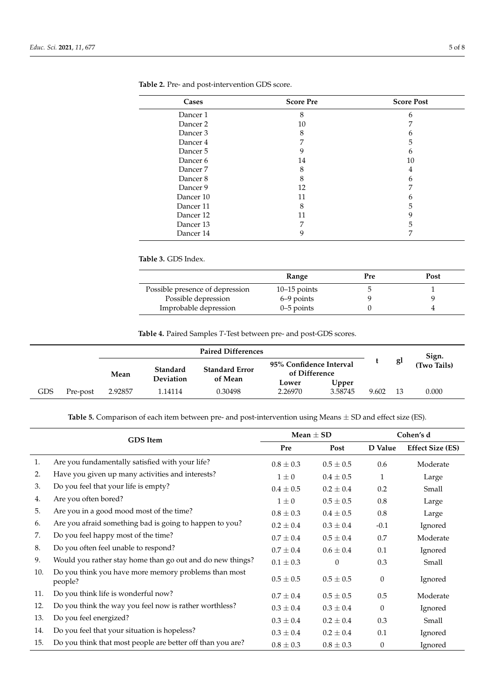| Cases     | <b>Score Pre</b> | <b>Score Post</b> |
|-----------|------------------|-------------------|
| Dancer 1  | 8                | 6                 |
| Dancer 2  | 10               |                   |
| Dancer 3  | 8                | n                 |
| Dancer 4  | ⇁                | 5                 |
| Dancer 5  | 9                | 6                 |
| Dancer 6  | 14               | 10                |
| Dancer 7  | 8                | 4                 |
| Dancer 8  | 8                | 6                 |
| Dancer 9  | 12               | 7                 |
| Dancer 10 | 11               | h                 |
| Dancer 11 | 8                | 5                 |
| Dancer 12 | 11               | 9                 |
| Dancer 13 | ⇁                | 5                 |
| Dancer 14 |                  |                   |

<span id="page-4-0"></span>**Table 2.** Pre- and post-intervention GDS score.

<span id="page-4-1"></span>**Table 3.** GDS Index.

|                                 | Range          | Pre | Post |
|---------------------------------|----------------|-----|------|
| Possible presence of depression | $10-15$ points |     |      |
| Possible depression             | 6–9 points     |     |      |
| Improbable depression           | $0-5$ points   |     |      |

**Table 4.** Paired Samples *T*-Test between pre- and post-GDS scores.

<span id="page-4-2"></span>

|     |          |         | <b>Paired Differences</b> |                       |                                          |         |       |    | Sign.       |
|-----|----------|---------|---------------------------|-----------------------|------------------------------------------|---------|-------|----|-------------|
|     |          | Mean    | Standard                  | <b>Standard Error</b> | 95% Confidence Interval<br>of Difference |         |       | gl | (Two Tails) |
|     |          |         | <b>Deviation</b>          | of Mean               | Lower                                    | Upper   |       |    |             |
| GDS | Pre-post | 2.92857 | 1.14114                   | 0.30498               | 2.26970                                  | 3.58745 | 9.602 | 13 | 0.000       |

**Table 5.** Comparison of each item between pre- and post-intervention using Means ± SD and effect size (ES).

<span id="page-4-3"></span>

| <b>GDS</b> Item |                                                                 | Mean $\pm$ SD |               | Cohen's d |                         |
|-----------------|-----------------------------------------------------------------|---------------|---------------|-----------|-------------------------|
|                 |                                                                 | Pre           | Post          | D Value   | <b>Effect Size (ES)</b> |
| 1.              | Are you fundamentally satisfied with your life?                 | $0.8 \pm 0.3$ | $0.5 \pm 0.5$ | 0.6       | Moderate                |
| 2.              | Have you given up many activities and interests?                | $1\pm 0$      | $0.4 \pm 0.5$ | 1         | Large                   |
| 3.              | Do you feel that your life is empty?                            | $0.4 \pm 0.5$ | $0.2 \pm 0.4$ | 0.2       | Small                   |
| 4.              | Are you often bored?                                            | $1\pm 0$      | $0.5 \pm 0.5$ | 0.8       | Large                   |
| 5.              | Are you in a good mood most of the time?                        | $0.8 \pm 0.3$ | $0.4 \pm 0.5$ | 0.8       | Large                   |
| 6.              | Are you afraid something bad is going to happen to you?         | $0.2 \pm 0.4$ | $0.3 \pm 0.4$ | $-0.1$    | Ignored                 |
| 7.              | Do you feel happy most of the time?                             | $0.7 \pm 0.4$ | $0.5 \pm 0.4$ | 0.7       | Moderate                |
| 8.              | Do you often feel unable to respond?                            | $0.7 \pm 0.4$ | $0.6 \pm 0.4$ | 0.1       | Ignored                 |
| 9.              | Would you rather stay home than go out and do new things?       | $0.1 \pm 0.3$ | $\Omega$      | 0.3       | Small                   |
| 10.             | Do you think you have more memory problems than most<br>people? | $0.5 \pm 0.5$ | $0.5 \pm 0.5$ | $\theta$  | Ignored                 |
| 11.             | Do you think life is wonderful now?                             | $0.7 \pm 0.4$ | $0.5 \pm 0.5$ | 0.5       | Moderate                |
| 12.             | Do you think the way you feel now is rather worthless?          | $0.3 \pm 0.4$ | $0.3 \pm 0.4$ | $\Omega$  | Ignored                 |
| 13.             | Do you feel energized?                                          | $0.3 \pm 0.4$ | $0.2 \pm 0.4$ | 0.3       | Small                   |
| 14.             | Do you feel that your situation is hopeless?                    | $0.3 \pm 0.4$ | $0.2 \pm 0.4$ | 0.1       | Ignored                 |
| 15.             | Do you think that most people are better off than you are?      | $0.8 \pm 0.3$ | $0.8 \pm 0.3$ | $\theta$  | Ignored                 |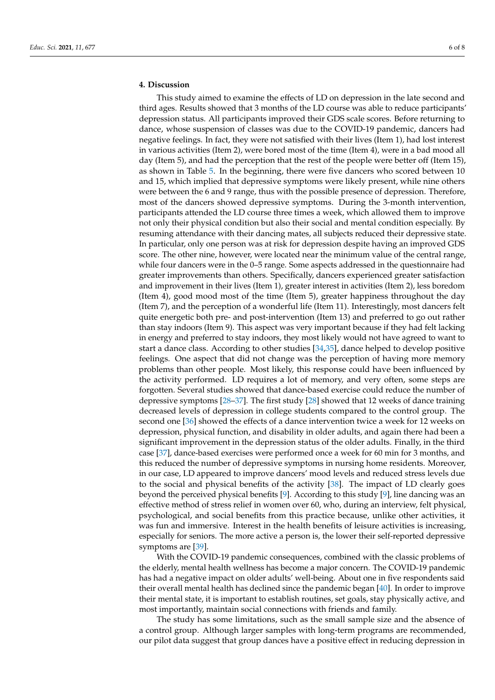## **4. Discussion**

This study aimed to examine the effects of LD on depression in the late second and third ages. Results showed that 3 months of the LD course was able to reduce participants' depression status. All participants improved their GDS scale scores. Before returning to dance, whose suspension of classes was due to the COVID-19 pandemic, dancers had negative feelings. In fact, they were not satisfied with their lives (Item 1), had lost interest in various activities (Item 2), were bored most of the time (Item 4), were in a bad mood all day (Item 5), and had the perception that the rest of the people were better off (Item 15), as shown in Table [5.](#page-4-3) In the beginning, there were five dancers who scored between 10 and 15, which implied that depressive symptoms were likely present, while nine others were between the 6 and 9 range, thus with the possible presence of depression. Therefore, most of the dancers showed depressive symptoms. During the 3-month intervention, participants attended the LD course three times a week, which allowed them to improve not only their physical condition but also their social and mental condition especially. By resuming attendance with their dancing mates, all subjects reduced their depressive state. In particular, only one person was at risk for depression despite having an improved GDS score. The other nine, however, were located near the minimum value of the central range, while four dancers were in the 0–5 range. Some aspects addressed in the questionnaire had greater improvements than others. Specifically, dancers experienced greater satisfaction and improvement in their lives (Item 1), greater interest in activities (Item 2), less boredom (Item 4), good mood most of the time (Item 5), greater happiness throughout the day (Item 7), and the perception of a wonderful life (Item 11). Interestingly, most dancers felt quite energetic both pre- and post-intervention (Item 13) and preferred to go out rather than stay indoors (Item 9). This aspect was very important because if they had felt lacking in energy and preferred to stay indoors, they most likely would not have agreed to want to start a dance class. According to other studies [\[34](#page-7-21)[,35\]](#page-7-22), dance helped to develop positive feelings. One aspect that did not change was the perception of having more memory problems than other people. Most likely, this response could have been influenced by the activity performed. LD requires a lot of memory, and very often, some steps are forgotten. Several studies showed that dance-based exercise could reduce the number of depressive symptoms [\[28–](#page-7-15)[37\]](#page-7-23). The first study [\[28\]](#page-7-15) showed that 12 weeks of dance training decreased levels of depression in college students compared to the control group. The second one [\[36\]](#page-7-24) showed the effects of a dance intervention twice a week for 12 weeks on depression, physical function, and disability in older adults, and again there had been a significant improvement in the depression status of the older adults. Finally, in the third case [\[37\]](#page-7-23), dance-based exercises were performed once a week for 60 min for 3 months, and this reduced the number of depressive symptoms in nursing home residents. Moreover, in our case, LD appeared to improve dancers' mood levels and reduced stress levels due to the social and physical benefits of the activity [\[38\]](#page-7-25). The impact of LD clearly goes beyond the perceived physical benefits [\[9\]](#page-6-8). According to this study [\[9\]](#page-6-8), line dancing was an effective method of stress relief in women over 60, who, during an interview, felt physical, psychological, and social benefits from this practice because, unlike other activities, it was fun and immersive. Interest in the health benefits of leisure activities is increasing, especially for seniors. The more active a person is, the lower their self-reported depressive symptoms are [\[39\]](#page-7-26).

With the COVID-19 pandemic consequences, combined with the classic problems of the elderly, mental health wellness has become a major concern. The COVID-19 pandemic has had a negative impact on older adults' well-being. About one in five respondents said their overall mental health has declined since the pandemic began [\[40\]](#page-7-27). In order to improve their mental state, it is important to establish routines, set goals, stay physically active, and most importantly, maintain social connections with friends and family.

The study has some limitations, such as the small sample size and the absence of a control group. Although larger samples with long-term programs are recommended, our pilot data suggest that group dances have a positive effect in reducing depression in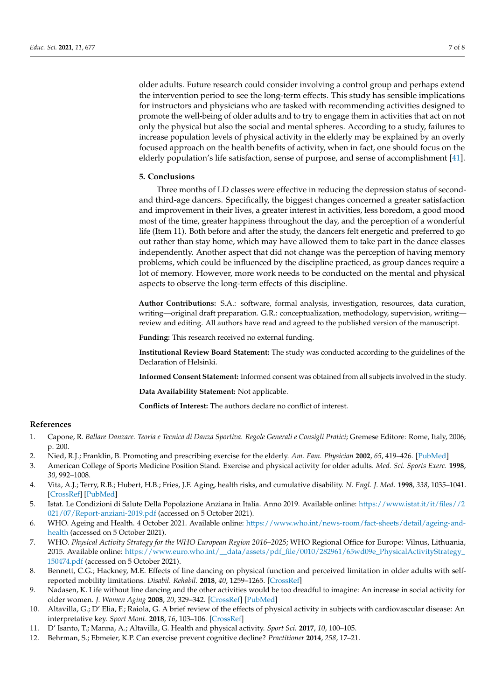older adults. Future research could consider involving a control group and perhaps extend the intervention period to see the long-term effects. This study has sensible implications for instructors and physicians who are tasked with recommending activities designed to promote the well-being of older adults and to try to engage them in activities that act on not only the physical but also the social and mental spheres. According to a study, failures to increase population levels of physical activity in the elderly may be explained by an overly focused approach on the health benefits of activity, when in fact, one should focus on the elderly population's life satisfaction, sense of purpose, and sense of accomplishment [\[41\]](#page-7-28).

### **5. Conclusions**

Three months of LD classes were effective in reducing the depression status of secondand third-age dancers. Specifically, the biggest changes concerned a greater satisfaction and improvement in their lives, a greater interest in activities, less boredom, a good mood most of the time, greater happiness throughout the day, and the perception of a wonderful life (Item 11). Both before and after the study, the dancers felt energetic and preferred to go out rather than stay home, which may have allowed them to take part in the dance classes independently. Another aspect that did not change was the perception of having memory problems, which could be influenced by the discipline practiced, as group dances require a lot of memory. However, more work needs to be conducted on the mental and physical aspects to observe the long-term effects of this discipline.

**Author Contributions:** S.A.: software, formal analysis, investigation, resources, data curation, writing—original draft preparation. G.R.: conceptualization, methodology, supervision, writing review and editing. All authors have read and agreed to the published version of the manuscript.

**Funding:** This research received no external funding.

**Institutional Review Board Statement:** The study was conducted according to the guidelines of the Declaration of Helsinki.

**Informed Consent Statement:** Informed consent was obtained from all subjects involved in the study.

**Data Availability Statement:** Not applicable.

**Conflicts of Interest:** The authors declare no conflict of interest.

### **References**

- <span id="page-6-0"></span>1. Capone, R. *Ballare Danzare. Teoria e Tecnica di Danza Sportiva. Regole Generali e Consigli Pratici*; Gremese Editore: Rome, Italy, 2006; p. 200.
- <span id="page-6-1"></span>2. Nied, R.J.; Franklin, B. Promoting and prescribing exercise for the elderly. *Am. Fam. Physician* **2002**, *65*, 419–426. [\[PubMed\]](http://www.ncbi.nlm.nih.gov/pubmed/11858624)
- <span id="page-6-2"></span>3. American College of Sports Medicine Position Stand. Exercise and physical activity for older adults. *Med. Sci. Sports Exerc.* **1998**, *30*, 992–1008.
- <span id="page-6-3"></span>4. Vita, A.J.; Terry, R.B.; Hubert, H.B.; Fries, J.F. Aging, health risks, and cumulative disability. *N. Engl. J. Med.* **1998**, *338*, 1035–1041. [\[CrossRef\]](http://doi.org/10.1056/NEJM199804093381506) [\[PubMed\]](http://www.ncbi.nlm.nih.gov/pubmed/9535669)
- <span id="page-6-4"></span>5. Istat. Le Condizioni di Salute Della Popolazione Anziana in Italia. Anno 2019. Available online: [https://www.istat.it/it/files//2](https://www.istat.it/it/files//2021/07/Report-anziani-2019.pdf) [021/07/Report-anziani-2019.pdf](https://www.istat.it/it/files//2021/07/Report-anziani-2019.pdf) (accessed on 5 October 2021).
- <span id="page-6-5"></span>6. WHO. Ageing and Health. 4 October 2021. Available online: [https://www.who.int/news-room/fact-sheets/detail/ageing-and](https://www.who.int/news-room/fact-sheets/detail/ageing-and-health)[health](https://www.who.int/news-room/fact-sheets/detail/ageing-and-health) (accessed on 5 October 2021).
- <span id="page-6-6"></span>7. WHO. *Physical Activity Strategy for the WHO European Region 2016–2025*; WHO Regional Office for Europe: Vilnus, Lithuania, 2015. Available online: [https://www.euro.who.int/\\_\\_data/assets/pdf\\_file/0010/282961/65wd09e\\_PhysicalActivityStrategy\\_](https://www.euro.who.int/__data/assets/pdf_file/0010/282961/65wd09e_PhysicalActivityStrategy_150474.pdf) [150474.pdf](https://www.euro.who.int/__data/assets/pdf_file/0010/282961/65wd09e_PhysicalActivityStrategy_150474.pdf) (accessed on 5 October 2021).
- <span id="page-6-7"></span>8. Bennett, C.G.; Hackney, M.E. Effects of line dancing on physical function and perceived limitation in older adults with selfreported mobility limitations. *Disabil. Rehabil.* **2018**, *40*, 1259–1265. [\[CrossRef\]](http://doi.org/10.1080/09638288.2017.1294207)
- <span id="page-6-8"></span>9. Nadasen, K. Life without line dancing and the other activities would be too dreadful to imagine: An increase in social activity for older women. *J. Women Aging* **2008**, *20*, 329–342. [\[CrossRef\]](http://doi.org/10.1080/08952840801985060) [\[PubMed\]](http://www.ncbi.nlm.nih.gov/pubmed/18983115)
- <span id="page-6-9"></span>10. Altavilla, G.; D' Elia, F.; Raiola, G. A brief review of the effects of physical activity in subjects with cardiovascular disease: An interpretative key. *Sport Mont.* **2018**, *16*, 103–106. [\[CrossRef\]](http://doi.org/10.26773/smj.181018)
- <span id="page-6-10"></span>11. D' Isanto, T.; Manna, A.; Altavilla, G. Health and physical activity. *Sport Sci.* **2017**, *10*, 100–105.
- <span id="page-6-11"></span>12. Behrman, S.; Ebmeier, K.P. Can exercise prevent cognitive decline? *Practitioner* **2014**, *258*, 17–21.